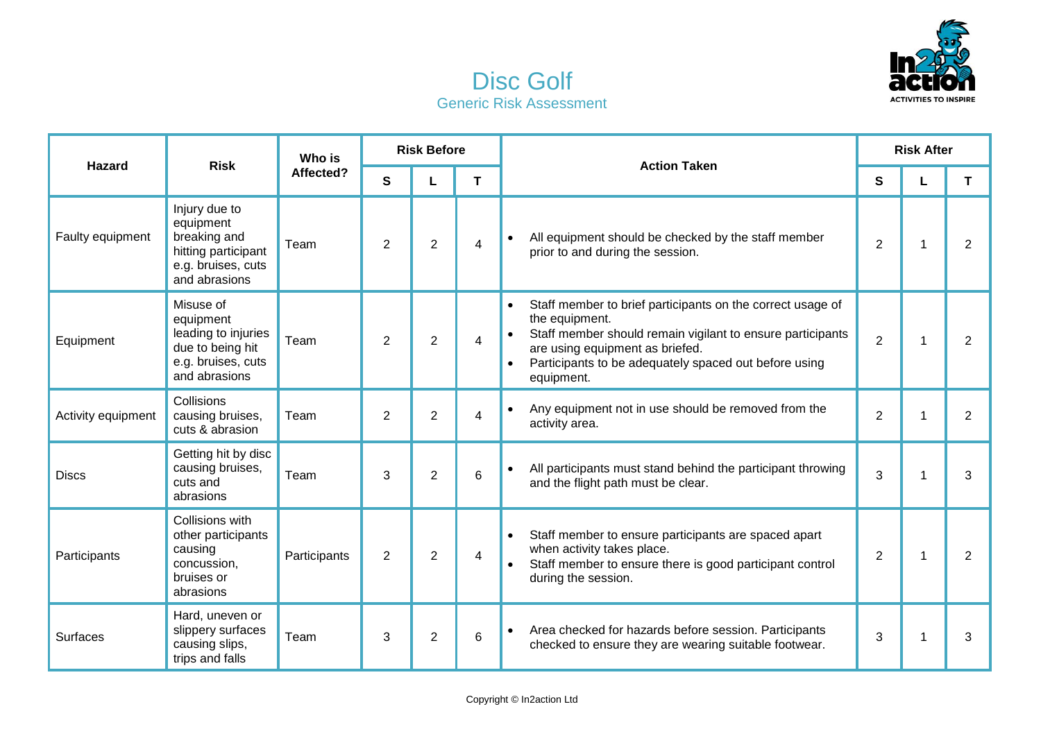



| <b>Hazard</b>      | <b>Risk</b>                                                                                              | Who is       | <b>Risk Before</b> |                |   | <b>Action Taken</b>                                                                                                                                                                                                                                  |                | <b>Risk After</b> |                |
|--------------------|----------------------------------------------------------------------------------------------------------|--------------|--------------------|----------------|---|------------------------------------------------------------------------------------------------------------------------------------------------------------------------------------------------------------------------------------------------------|----------------|-------------------|----------------|
|                    |                                                                                                          | Affected?    | $\mathbf{s}$       | L              | T |                                                                                                                                                                                                                                                      | S              |                   | T.             |
| Faulty equipment   | Injury due to<br>equipment<br>breaking and<br>hitting participant<br>e.g. bruises, cuts<br>and abrasions | Team         | 2                  | $\overline{2}$ | 4 | All equipment should be checked by the staff member<br>prior to and during the session.                                                                                                                                                              | $\overline{2}$ | 1                 | $\overline{2}$ |
| Equipment          | Misuse of<br>equipment<br>leading to injuries<br>due to being hit<br>e.g. bruises, cuts<br>and abrasions | Team         | $\overline{2}$     | $\overline{2}$ | 4 | Staff member to brief participants on the correct usage of<br>the equipment.<br>Staff member should remain vigilant to ensure participants<br>are using equipment as briefed.<br>Participants to be adequately spaced out before using<br>equipment. | $\overline{2}$ | 1                 | $\overline{2}$ |
| Activity equipment | Collisions<br>causing bruises,<br>cuts & abrasion                                                        | Team         | $\overline{2}$     | $\overline{2}$ | 4 | Any equipment not in use should be removed from the<br>$\bullet$<br>activity area.                                                                                                                                                                   | $\overline{2}$ | 1                 | $\overline{2}$ |
| <b>Discs</b>       | Getting hit by disc<br>causing bruises,<br>cuts and<br>abrasions                                         | Team         | 3                  | $\overline{2}$ | 6 | All participants must stand behind the participant throwing<br>$\bullet$<br>and the flight path must be clear.                                                                                                                                       | 3              |                   | 3              |
| Participants       | Collisions with<br>other participants<br>causing<br>concussion,<br>bruises or<br>abrasions               | Participants | $\overline{2}$     | $\overline{2}$ | 4 | Staff member to ensure participants are spaced apart<br>$\bullet$<br>when activity takes place.<br>Staff member to ensure there is good participant control<br>during the session.                                                                   | $\overline{2}$ | 1                 | $\overline{2}$ |
| Surfaces           | Hard, uneven or<br>slippery surfaces<br>causing slips,<br>trips and falls                                | Team         | 3                  | $\overline{2}$ | 6 | Area checked for hazards before session. Participants<br>checked to ensure they are wearing suitable footwear.                                                                                                                                       | 3              | 1                 | 3              |